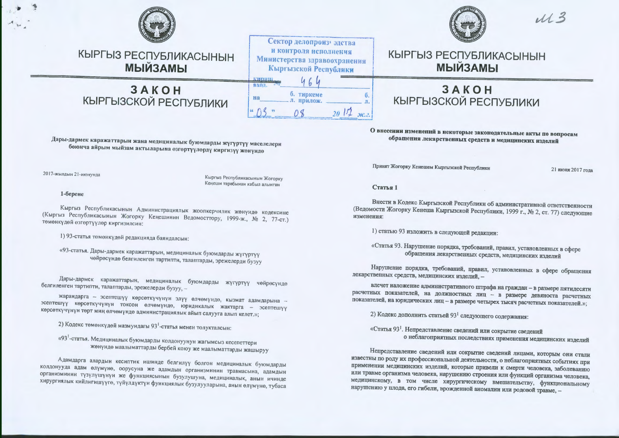

КЫРГЫЗ РЕСПУБЛИКАСЫНЫН **МЫЙЗАМЫ** 

# **3AKOH** КЫРГЫЗСКОЙ РЕСПУБЛИКИ



Сектор делопроиз эдства



 $113$ 

# КЫРГЫЗ РЕСПУБЛИКАСЫНЫН **МЫЙЗАМЫ**

# **3AKOH** КЫРГЫЗСКОЙ РЕСПУБЛИКИ

О внесении изменений в некоторые законодательные акты по вопросам обращения лекарственных средств и медицинских изделий

Принят Жогорку Кенешем Кыргызской Республики

21 июня 2017 года

#### Статья 1

Внести в Кодекс Кыргызской Республики об административной ответственности (Ведомости Жогорку Кенеша Кыргызской Республики, 1999 г., № 2, ст. 77) следующие изменения:

1) статью 93 изложить в следующей редакции:

«Статья 93. Нарушение порядка, требований, правил, установленных в сфере обращения лекарственных средств, медицинских изделий

Нарушение порядка, требований, правил, установленных в сфере обращения лекарственных средств, медицинских изделий, -

влечет наложение административного штрафа на граждан - в размере пятидесяти расчетных показателей, на должностных лиц - в размере девяноста расчетных показателей, на юридических лиц - в размере четырех тысяч расчетных показателей.»;

2) Кодекс дополнить статьей 93<sup>1</sup> следующего содержания:

«Статья 93<sup>1</sup>. Непредставление сведений или сокрытие сведений о неблагоприятных последствиях применения медицинских изделий

Непредставление сведений или сокрытие сведений лицами, которым они стали известны по роду их профессиональной деятельности, о неблагоприятных событиях при применении медицинских изделий, которые привели к смерти человека, заболеванию или травме организма человека, нарушению строения или функций организма человека, медицинскому, в том числе хирургическому вмешательству, функциональному нарушению у плода, его гибели, врожденной аномалии или родовой травме. -

Дары-дармек каражаттарын жана медициналык буюмдарды жүгүртүү маселелери боюнча айрым мыйзам актыларына өзгөртүүлөрдү киргизүү жөнүндө

2017-жылдын 21-июнунда

Кыргыз Республикасынын Жогорку Кеңеши тарабынан кабыл алынган

1-берене

Кыргыз Республикасынын Администрациялык жоопкерчилик жөнүндө кодексине (Кыргыз Республикасынын Жогорку Кеңешинин Ведомосттору, 1999-ж., № 2, 77-ст.) төмөнкүдөй өзгөртүүлөр киргизилсин:

1) 93-статья төмөнкүдөй редакцияда баяндалсын:

«93-статья. Дары-дармек каражаттарын, медициналык буюмдарды жүгүртүү чейресунде белгиленген тартипти, талаптарды, эрежелерди бузуу

Дары-дармек каражаттарын, медициналык буюмдарды жүгүртүү чөйрөсүндө белгиленген тартипти, талаптарды, эрежелерди бузуу, -

жарандарга - эсептешүү көрсөткүчүнүн элүү өлчөмүндө, кызмат адамдарына эсептешүү көрсөткүчүнүн токсон өлчөмүндө, юридикалык жактарга - эсептешүү көрсөткүчүнүн төрт миң өлчөмүндө администрациялык айып салууга алып келет.»;

2) Кодекс төмөнкүдөй мазмундагы 93<sup>1</sup>-статья менен толукталсын:

«93<sup>1</sup>-статья. Медициналык буюмдарды колдонуунун жагымсыз кесепеттери жөнүндө маалыматтарды бербей коюу же маалыматтарды жашыруу

Адамдарга алардын кесиптик ишинде белгилүү болгон медициналык буюмдарды колдонууда адам өлүмүнө, оорусуна же адамдын организминин травмасына, адамдын организминин түзүлүшүнүн же функциясынын бузулушуна, медициналык, анын ичинде хирургиялык кийлигишүүгө, түйүлдүктүи фуикциялык бузулууларына, анын өлүмүнө, тубаса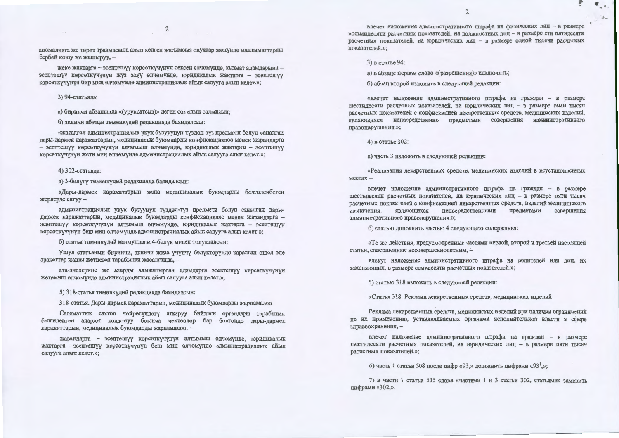$\overline{2}$ 

аномалияга же төрөт травмасына алып келген жагымсыз окуялар жөнүндө маалыматтарды бербей коюу же жашыруу, -

жеке жактарга - эсептешүү көрсөткүчүнүн сексен өлчөмүндө, кызмат адамдарына эсептешүү көрсөткүчүнүн жүз элүү өлчөмүндө, юридикалык жактарга - эсептешүү көрсөткүчүнүн бир миң өлчөмүндө администрациялык айып салууга алып келет.»;

3) 94-статьяда:

а) биринчи абзацында «(уруксатсыз)» деген сөз алып салынсын;

б) экинчи абзацы төмөнкүдөй редакцияда баяндалсын:

«жасалган администрациялык укук бузууунун түздөн-түз предмети болуп саналган дары-дармек каражаттарын, медициналык буюмдарды конфискациялоо менен жарандарга - эсептешүү көрсөткүчүнүн алтымыш өлчөмүндө, юридикалык жактарга - эсептешүү көрсөткүчүнүн жети миң өлчөмүндө администрациялык айып салууга алып келет.»;

4) 302-статьяда:

а) 3-бөлүгү төмөнкүдөй редакцияда баяндалсын:

«Дары-дармек каражаттарын жана медициналык буюмдарды белгиленбеген жерлерде сатуу -

администрациялык укук бузуунун түздөн-түз предмети болуп саналган дарыдармек каражаттарын, медициналык буюмдарды конфискациялоо менен жарандарга эсептешүү көрсөткүчүнүн алтымыш өлчөмүндө, юридикалык жактарга - эсептешүү көрсөткүчүнүн беш миң өлчөмүндө администрациялык айып салууга алып келет.»;

б) статья төмөнкүдөй мазмундагы 4-бөлүк менен толукталсын:

Ушул статьянын биринчи, экинчи жана үчүнчү бөлүктөрүндө каралган ошол эле аракеттер жашы жетпеген тарабынан жасалганда, -

ата-энелерине же аларды алмаштырган адамдарга эсептешүү көрсөткүчүнүн жетимиш өлчөмүндө администрациялык айып салууга алып келет.»;

5) 318-статья төмөнкүдөй редакцияда баяндалсын:

318-статья. Дары-дармек каражаттарын, медициналык буюмдарды жарнамалоо

Саламаттык сактоо чөйрөсүндөгү аткаруу бийлиги органдары тарабынан белгиленген аларды колдонуу боюнча чектөөлөр бар болгондо дары-дармек каражаттарын, медициналык буюмдарды жарнамалоо, -

жарандарга - эсептешүү көрсөткүчүнүн алтымыш өлчөмүндө, юридикалык жактарга -эсептешүү көрсөткүчүнүн беш миң өлчөмүндө администрациялык айып салууга алып келет.»;

влечет наложение административного штрафа на физических лиц - в размере восьмидесяти расчетных показателей, на должностных лиц - в размере ста пятидесяти расчетных показателей, на юридических лиц - в размере одной тысячи расчетных показателей.»;

3) в статье 94:

а) в абзаце первом слово «(разрешения)» исключить;

б) абзац второй изложить в следующей редакции:

«влечет наложение административного штрафа на граждан - в размере шестидесяти расчетных показателей, на юридических лиц - в размере семи тысяч расчетных показателей с конфискацией лекарственных средств, медицинских изделий, являющихся непосредственно предметами совершения административного правонарушения.»;

4) в статье 302:

а) часть 3 изложить в следующей редакции:

«Реализация лекарственных средств, медицинских изделий в неустановленных  $MECTAX -$ 

влечет наложение административного штрафа на граждан - в размере шестидесяти расчетных показателей, на юридических лиц - в размере пяти тысяч расчетных показателей с конфискацией лекарственных средств, изделий медицинского назначения, являющихся непосредственными предметами совершения административного правонарушения.»;

б) статью дополнить частью 4 следующего содержания:

«Те же действия, предусмотренные частями первой, второй и третьей настоящей статьи, совершенные несовершеннолетним, -

влекут наложение административного штрафа на родителей или лиц, их заменяющих, в размере семидесяти расчетных показателей.»;

5) статью 318 изложить в следующей редакции:

«Статья 318. Реклама лекарственных средств, медицинских изделий

Реклама лекарственных средств, медицинских изделий при наличии ограничений по их применению, устанавливаемых органами исполнительной власти в сфере здравоохранения, -

влечет наложение административного штрафа на граждан - в размере шестидесяти расчетных показателей, на юридических лиц - в размере пяти тысяч расчетных показателей.»;

6) часть 1 статьи 508 после цифр «93,» дополнить цифрами «93<sup>1</sup>,»;

7) в части 1 статьи 535 слова «частями 1 и 3 статьи 302, статьями» заменить цифрами «302,».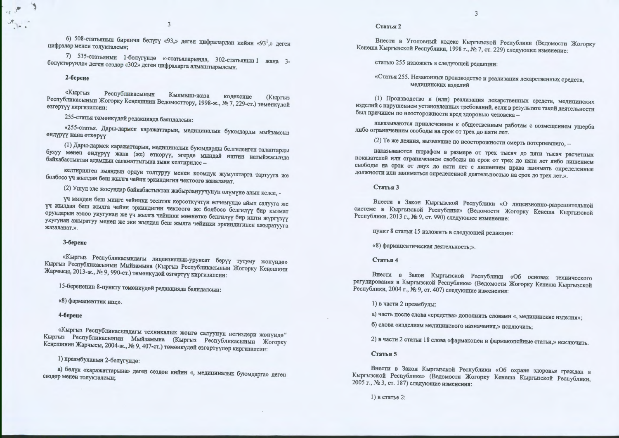6) 508-статьянын биринчи бөлүгү «93,» деген цифралардан кийин «93<sup>1</sup>,» деген цифралар менен толукталсын;

7) 535-статьянын 1-бөлүгүндө «-статьяларында, 302-статьянын 1 жана 3бөлүктөрүндө» деген сөздөр «302» деген цифраларга алмаштырылсын.

#### 2-берене

«Кыргыз Республикасынын Кылмыш-жаза кодексине Республикасынын Жогорку Кеңешинин Ведомосттору, 1998-ж., № 7, 229-ст.) төмөнкүдөй **(Кыргыз** өзгөртүү киргизилсин:

255-статья төмөнкүдөй редакцияда баяндалсын:

«255-статья. Дары-дармек каражаттарын, медициналык буюмдарды мыйзамсыз өндүрүү жана өткөрүү

(1) Дары-дармек каражаттарын, медициналык буюмдарды белгиленген талаптарды бузуу менен өндүрүү жана (же) өткөрүү, эгерде мындай иштин натыйжасында байкабастыктан адамдын саламаттыгына зыян келтирилсе -

келтирилген зыяндын ордун толтуруу менен коомдук жумуштарга тартууга же болбосо үч жылдан беш жылга чейин эркиндигин чектөөгө жазаланат.

(2) Ушул эле жосундар байкабастыктан жабырлануучунун өлүмүнө алып келсе, -

үч минден беш миңге чейинки эсептик көрсөткүчтүн өлчөмүндө айып салууга же үч жылдан беш жылга чейин эркиндигин чектөөгө же болбосо белгилүү бир кызмат орундарын ээлөө укугунан же үч жылга чейинки мөөнөткө белгилүү бир ишти жүргүзүү укугунан ажыратуу менен же эки жылдан беш жылга чейинки эркиндигинен ажыратууга жазаланат.».

#### 3-берене

«Кыргыз Республикасындагы лицензиялык-уруксат берүү тутуму жөнүндө» Кыргыз Республикасынын Мыйзамына (Кыргыз Республикасынын Жогорку Кеңешини Жарчысы, 2013-ж., № 9, 990-ст.) төмөнкүдөй өзгөртүү киргизилсин:

15-берененин 8-пункту төмөнкүдөй редакцияда баяндалсын:

«8) фармацевттик иш;».

#### 4-берене

«Кыргыз Республикасындагы техникалык жөнгө салуунун негиздери жөнүндө" Кыргыз Республикасынын Мыйзамына (Кыргыз Республикасынын Жогорку Кеңешинин Жарчысы, 2004-ж., № 9, 407-ст.) төмөнкүдөй өзгөртүүлөр киргизилсин:

### 1) преамбуланын 2-бөлүгүндө:

а) бөлүк «каражаттарына» деген сөздөн кийин «, медициналык буюмдарга» деген сөздөр менен толукталсын;

#### Статья 2

Внести в Уголовный кодекс Кыргызской Республики (Ведомости Жогорку Кенеша Кыргызской Республики, 1998 г., № 7, ст. 229) следующее изменение:

статью 255 изложить в следующей редакции:

«Статья 255. Незаконные производство и реализация лекарственных средств, медицинских изделий

(1) Производство и (или) реализация лекарственных средств, медицинских изделий с нарушением установленных требований, если в результате такой деятельности был причинен по неосторожности вред здоровью человека -

наказываются привлечением к общественным работам с возмещением ущерба либо ограничением свободы на срок от трех до пяти лет.

(2) Те же деяния, вызвавшие по неосторожности смерть потерпевшего, -

наказываются штрафом в размере от трех тысяч до пяти тысяч расчетных показателей или ограничением свободы на срок от трех до пяти лет либо лишением свободы на срок от двух до пяти лет с лишением права занимать определенные должности или заниматься определенной деятельностью на срок до трех лет.».

#### Статья 3

Внести в Закон Кыргызской Республики «О лицензионно-разрешительной системе в Кыргызской Республике» (Ведомости Жогорку Кенеша Кыргызской Республики, 2013 г., № 9, ст. 990) следующее изменение:

пункт 8 статьи 15 изложить в следующей редакции:

«8) фармацевтическая деятельность;».

#### Статья 4

Внести в Закон Кыргызской Республики «Об основах технического регулирования в Кыргызской Республике» (Ведомости Жогорку Кенеша Кыргызской Республики, 2004 г., № 9, ст. 407) следующие изменения:

#### 1) в части 2 преамбулы:

а) часть после слова «средства» дополнить словами «, медицинские изделия»;

б) слова «изделиям медицинского назначения,» исключить;

2) в части 2 статьи 18 слова «фармакопеи и фармакопейные статьи,» исключить.

#### Статья 5

Внести в Закон Кыргызской Республики «Об охране здоровья граждан в Кыргызской Республике» (Ведомости Жогорку Кенеша Кыргызской Республики. 2005 г., № 3, ст. 187) следующие изменения:

 $1$ ) в статье 2.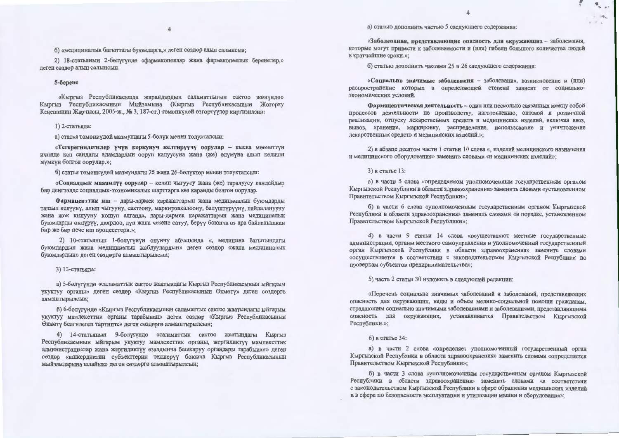#### б) «медициналык багыттагы буюмдарга,» деген сөздөр алып салынсын;

2) 18-статьянын 2-бөлүгүндө «фармакопеялар жана фармакопеялык беренелер,» деген сөздөр алып салынсын.

#### 5-берене

«Кыргыз Республикасында жарандардын саламаттыгын сактоо жөнүндө» Кыргыз Республикасынын Мыйзамына (Кыргыз Республикасынын Жогорку Кеңешинин Жарчысы, 2005-ж., № 3, 187-ст.) төмөнкүдөй өзгөртүүлөр киргизилсин:

#### 1) 2-статьяда:

а) статья төмөнкүдөй мазмундагы 5-бөлүк менен толукталсын:

«Тегерегиндегилер үчүн коркунуч келтирүүчү оорулар - кыска мөөнөттүн ичинде көп сандагы адамдардын ооруп калуусуна жана (же) өлүмүнө алып келиши мүмкүн болгон оорулар.»;

б) статья теменкудей мазмундагы 25 жана 26-белүктөр менен толукталсын:

«Социалдык маанилүү оорулар - келип чыгуусу жана (же) таралуусу кандайдыр бир деңгээлде социалдык-экономикалык шарттарга көз каранды болгон оорулар.

Фармацевттик иш - дары-дармек каражаттарын жана медициналык буюмдарды ташып келүүнү, алып чыгууну, сактоону, маркировкалоону, бөлүштүрүүнү, пайдаланууну жана жок кылууну кошуп алганда, дары-дармек каражаттарын жана медициналык буюмдарды өндүрүү, даярдоо, дүң жана чекене сатуу, берүү боюнча өз ара байланышкан бир же бир нече иш процесстери.»;

2) 10-статьянын 1-бөлүгүнүн онунчу абзацында «, медицина багытындагы буюмдардын жана медициналык жабдуулардын» деген сөздөр «жана медициналык буюмдардын» деген сөздөргө алмаштырылсын;

3) 13-статьяда:

а) 5-бөлүгүндө «саламаттык сактоо жаатындагы Кыргыз Республикасынын ыйгарым укуктуу органы» деген сөздөр «Кыргыз Республикасынын Өкмөтү» деген сөздөргө алмаштырылсын;

б) 6-бөлүгүндө «Кыргыз Республикасынын саламаттык сактоо жаатындагы ыйгарым укуктуу мамлекеттик органы тарабынан» деген сөздөр «Кыргыз Республикасынын Өкмөтү белгилеген тартипте» деген сөздөргө алмаштырылсын;

4) 14-статьянын 9-бөлүгүндө «саламаттык сактоо жаатындагы Кыргыз Республикасынын ыйгарым укуктуу мамлекеттик органы, жергиликтүү мамлекеттик администрациялар жана жергиликтүү өзалдынча башкаруу органдары тарабынан» деген сөздөр «ишкердиктин субъекттерин текшерүү боюнча Кыргыз Республикасынын мыйзамдарына ылайык» деген сөздөргө алмаштырылсын;

а) статью дополнить частью 5 следующего содержания:

«Заболевания, представляющие опасность для окружающих - заболевания, которые могут привести к заболеваемости и (или) гибели большого количества людей в кратчайшие сроки.»;

б) статью дополнить частями 25 и 26 следующего содержания:

«Социально значимые заболевания - заболевания, возникновение и (или) распространение которых в определяющей степени зависит от социальноэкономических условий.

Фармацевтическая деятельность - один или несколько связанных между собой процессов деятельности по производству, изготовлению, оптовой и розничной реализации, отпуску лекарственных средств и медицинских изделий, включая ввоз, вывоз, хранение, маркировку, распределение, использование и уничтожение лекарственных средств и медицинских изделий.»;

2) в абзаце десятом части 1 статьи 10 слова «, изделий медицинского назначения и медицинского оборудования» заменить словами «и медицинских изделий»;

#### 3) в статье 13:

а) в части 5 слова «определяемом уполномоченным государственным органом Кыргызской Республики в области здравоохранения» заменить словами «установленном Правительством Кыргызской Республики»;

б) в части 6 слова «уполномоченным государственным органом Кыргызской Республики в области здравоохранения» заменить словами «в порядке, установленном Правительством Кыргызской Республики»;

4) в части 9 статьи 14 слова «осуществляют местные государственные администрации, органы местного самоуправления и уполномоченный государственный орган Кыргызской Республики в области здравоохранения» заменить словами «осуществляется в соответствии с законодательством Кыргызской Республики по проверкам субъектов предпринимательства»;

5) часть 2 статьи 30 изложить в следующей редакции:

«Перечень социально значимых заболеваний и заболеваний, представляющих опасность для окружающих, виды и объем медико-социальной помощи гражданам, страдающим социально значимыми заболеваниями и заболеваниями, представляющими опасность для окружающих, устанавливается Правительством Кыргызской Республики.»;

#### $6)$  в статье 34:

а) в части 2 слова «определяет уполномоченный государственный орган Кыргызской Республики в области здравоохранения» заменить словами «определяется Правительством Кыргызской Республики»;

б) в части 3 слова «уполномоченным государственным органом Кыргызской Республики в области здравоохранения» заменить словами «в соответствии с законодательством Кыргызской Республики в сфере обращения медицинских изделий и в сфере по безопасности эксплуатации и утилизации машин и оборудования»;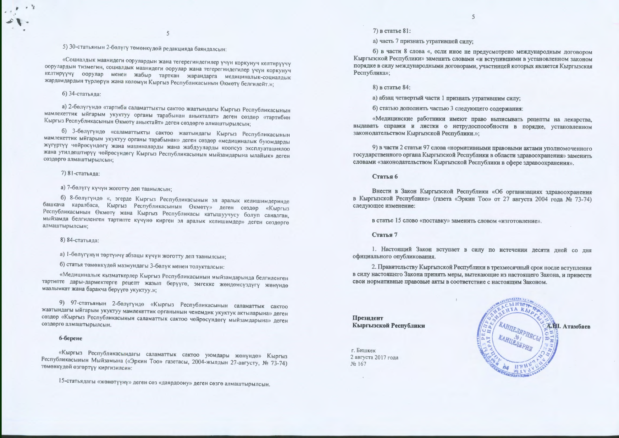## 5) 30-статьянын 2-бөлүгү төмөнкүдөй редакцияда баяндалсын:

«Социалдык маанидеги оорулардын жана тегерегиндегилер үчүн коркунуч келтирүүчү оорулардын тизмегин, социалдык маанидеги оорулар жана тегерегиндегилер үчүн коркунуч келтирүүчү оорулар менен жабыр тарткан жарандарга медициналык-социалдык жардамдардын түрлөрүн жана көлөмүн Кыргыз Республикасынын Өкмөтү белгилейт.»;

#### 6) 34-статьяла:

а) 2-бөлүгүндө «тартиби саламаттыкты сактоо жаатындагы Кыргыз Республикасынын мамлекеттик ыйгарым укуктуу органы тарабынан аныкталат» деген сөздөр «тартибин Кыргыз Республикасынын Өкмөтү аныктайт» деген сөздөргө алмаштырылсын;

б) 3-бөлүгүндө «саламаттыкты сактоо жаатындагы Кыргыз Республикасынын мамлекеттик ыйгарым укуктуу органы тарабынан» деген сөздөр «медициналык буюмдарды жүгүртүү чөйрөсүндөгү жана машиналарды жана жабдууларды коопсуз эксплуатациялоо жана утилдештирүү чөйрөсүндөгү Кыргыз Республикасынын мыйзамдарына ылайык» деген сөздөргө алмаштырылсын;

#### 7) 81-статьяла:

### а) 7-бөлүгү күчүн жоготту деп таанылсын:

б) 8-бөлүгүндө «, эгерде Кыргыз Республикасынын эл аралык келишимдеринде башкача каралбаса, Кыргыз Республикасынын Өкмөтү» деген сөздөр «Кыргыз Республикасынын Өкмөтү жана Кыргыз Республикасы катышуучусу болуп саналган, мыйзамда белгиленген тартипте күчүнө кирген эл аралык келишимдер» деген сөздөргө алмаштырылсын;

#### 8) 84-статьяда:

а) 1-бөлүгүнүн төртүнчү абзацы күчүн жоготту деп таанылсын;

б) статья төмөнкүдөй мазмундагы 3-бөлүк менен толукталсын:

«Медициналык кызматкерлер Кыргыз Республикасынын мыйзамдарында белгиленген тартипте дары-дармектерге рецепт жазып берүүгө, эмгекке жөндөмсүздүгү жөнүндө маалымкат жана баракча берүүгө укуктуу.»;

9) 97-статьянын 2-бөлүгүндө «Кыргыз Республикасынын саламаттык сактоо жаатындагы ыйгарым укуктуу мамлекеттик органынын ченемдик укуктук актыларына» деген сөздөр «Кыргыз Республикасынын саламаттык сактоо чөйрөсүндөгү мыйзамдарына» деген сөздөргө алмаштырылсын.

#### 6-берене

«Кыргыз Республикасындагы саламаттык сактоо уюмдары жөнүндө» Кыргыз Республикасынын Мыйзамына («Эркин Тоо» газетасы, 2004-жылдын 27-августу, № 73-74) төмөнкүдөй өзгөртүү киргизилсин:

15-статьядагы «жөнөтүүнү» деген сөз «даярдоону» деген сөзгө алмаштырылсын.

7) в статье 81:

а) часть 7 признать утратившей силу;

б) в части 8 слова «, если иное не предусмотрено международным договором Кыргызской Республики» заменить словами «и вступившими в установленном законом порядке в силу международными договорами, участницей которых является Кыргызская Республика»:

 $\overline{5}$ 

#### 8) в статье 84:

а) абзац четвертый части 1 признать утратившим силу;

б) статью дополнить частью 3 следующего содержания:

«Медицинские работники имеют право выписывать репепты на лекарства. выдавать справки и листки о нетрудоспособности в порядке, установленном законодательством Кыргызской Республики.»:

9) в части 2 статьи 97 слова «нормативными правовыми актами уполномоченного государственного органа Кыргызской Республики в области здравоохранения» заменить словами «законодательством Кыргызской Республики в сфере здравоохранения».

#### Статья 6

Внести в Закон Кыргызской Республики «Об организациях здравоохранения в Кыргызской Республике» (газета «Эркин Тоо» от 27 августа 2004 года № 73-74) следующее изменение:

в статье 15 слово «поставку» заменить словом «изготовление».

#### Статья 7

1. Настоящий Закон вступает в силу по истечении десяти дней со дня официального опубликования.

2. Правительству Кыргызской Республики в трехмесячный срок после вступления в силу настоящего Закона принять меры, вытекающие из настоящего Закона, и привести свои нормативные правовые акты в соответствие с настоящим Законом.

Презилент Кыргызской Республики

г. Бишкек 2 августа 2017 года No 167